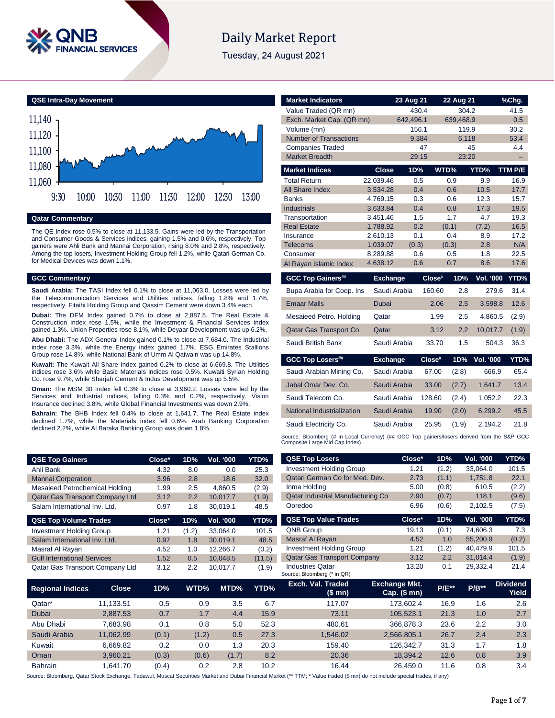

# **Daily Market Report**

Tuesday, 24 August 2021

**QSE Intra-Day Movement**



## **Qatar Commentary**

The QE Index rose 0.5% to close at 11,133.5. Gains were led by the Transportation and Consumer Goods & Services indices, gaining 1.5% and 0.6%, respectively. Top gainers were Ahli Bank and Mannai Corporation, rising 8.0% and 2.8%, respectively. Among the top losers, Investment Holding Group fell 1.2%, while Qatari German Co. for Medical Devices was down 1.1%.

### **GCC Commentary**

Source: Bloomberg, Qatar Stock Exchange and Dubai Financial Market and Dubai Financial Market (\*\* 1

**Saudi Arabia:** The TASI Index fell 0.1% to close at 11,063.0. Losses were led by the Telecommunication Services and Utilities indices, falling 1.8% and 1.7%, respectively. Fitaihi Holding Group and Qassim Cement were down 3.4% each.

**Dubai:** The DFM Index gained 0.7% to close at 2,887.5. The Real Estate & Construction index rose 1.5%, while the Investment & Financial Services index gained 1.3%. Union Properties rose 8.1%, while Deyaar Development was up 6.2%. **Abu Dhabi:** The ADX General Index gained 0.1% to close at 7,684.0. The Industrial index rose 3.3%, while the Energy index gained 1.7%. ESG Emirates Stallions

Group rose 14.8%, while National Bank of Umm Al Qaiwain was up 14.8%. **Kuwait:** The Kuwait All Share Index gained 0.2% to close at 6,669.8. The Utilities

indices rose 3.6% while Basic Materials indices rose 0.5%. Kuwaiti Syrian Holding Co. rose 9.7%, while Sharjah Cement & Indus Development was up 5.5%.

**Oman:** The MSM 30 Index fell 0.3% to close at 3,960.2. Losses were led by the Services and Industrial indices, falling 0.3% and 0.2%, respectively. Vision Insurance declined 3.8%, while Global Financial Investments was down 2.9%.

**Bahrain:** The BHB Index fell 0.4% to close at 1,641.7. The Real Estate index declined 1.7%, while the Materials index fell 0.6%. Arab Banking Corporation declined 2.2%, while Al Baraka Banking Group was down 1.8%.

| <b>Market Indicators</b>           |                      | 23 Aug 21  |           | 22 Aug 21  |                  | %Chg.        |
|------------------------------------|----------------------|------------|-----------|------------|------------------|--------------|
| Value Traded (QR mn)               |                      |            | 430.4     | 304.2      |                  | 41.5         |
| Exch. Market Cap. (QR mn)          |                      | 642,496.1  |           | 639,468.9  |                  | 0.5          |
| Volume (mn)                        |                      |            | 156.1     | 119.9      |                  | 30.2         |
| <b>Number of Transactions</b>      |                      |            | 9,384     | 6,118      |                  | 53.4         |
| <b>Companies Traded</b>            |                      |            | 47        |            | 45               | 4.4          |
| <b>Market Breadth</b>              |                      | 29:15      |           | 23:20      |                  |              |
| <b>Market Indices</b>              | <b>Close</b>         | 1D%        |           | WTD%       | YTD%             | TTM P/E      |
| <b>Total Return</b>                | 22,039.46            | 0.5        |           | 0.9        | 9.9              | 16.9         |
| <b>All Share Index</b>             | 3,534.28             | 0.4        |           | 0.6        | 10.5             | 17.7         |
| <b>Banks</b>                       | 4,769.15             | 0.3        |           | 0.6        | 12.3             | 15.7         |
| <b>Industrials</b>                 | 3,633.84             | 0.4        |           | 0.8        | 17.3             | 19.5         |
| Transportation                     | 3,451.46             | 1.5        |           | 1.7        | 4.7              | 19.3         |
| <b>Real Estate</b>                 | 1,788.92             | 0.2        |           | (0.1)      | (7.2)            | 16.5         |
| Insurance                          | 2,610.13             | 0.1        |           | 0.4        | 8.9              | 17.2         |
| <b>Telecoms</b>                    | 1,039.07             | (0.3)      |           | (0.3)      | 2.8              | N/A          |
| Consumer<br>Al Rayan Islamic Index | 8,289.88<br>4,638.12 | 0.6<br>0.6 |           | 0.5<br>0.7 | 1.8<br>8.6       | 22.5<br>17.6 |
|                                    |                      |            |           |            |                  |              |
| <b>GCC Top Gainers##</b>           | <b>Exchange</b>      |            | $Close^*$ | 1D%        | <b>Vol. '000</b> | YTD%         |
| Bupa Arabia for Coop. Ins          | Saudi Arabia         |            | 160.60    | 2.8        | 279.6            | 31.4         |
| <b>Emaar Malls</b>                 | <b>Dubai</b>         |            | 2.06      | 2.5        | 3,598.8          | 12.6         |
| Mesaieed Petro. Holding            | Qatar                |            | 1.99      | 2.5        | 4,860.5          | (2.9)        |
| Qatar Gas Transport Co.            | Qatar                |            | 3.12      | 2.2        | 10,017.7         | (1.9)        |
| Saudi British Bank                 | Saudi Arabia         |            | 33.70     | 1.5        | 504.3            | 36.3         |
| <b>GCC Top Losers##</b>            | <b>Exchange</b>      |            | Close#    | 1D%        | <b>Vol. '000</b> | YTD%         |
| Saudi Arabian Mining Co.           | Saudi Arabia         |            | 67.00     | (2.8)      | 666.9            | 65.4         |
| Jabal Omar Dev. Co.                | Saudi Arabia         |            | 33.00     | (2.7)      | 1,641.7          | 13.4         |
|                                    |                      |            |           |            |                  |              |
| Saudi Telecom Co.                  | Saudi Arabia         |            | 128.60    | (2.4)      | 1,052.2          | 22.3         |
| National Industrialization         | Saudi Arabia         |            | 19.90     | (2.0)      | 6,299.2          | 45.5         |

# in Local Currency) (## GCC Top gainers/losers derived from the S&P GCC Source: Bloomberg (# in Local Oomposite Large Mid Cap Index)

Page 1 of 7

| <b>QSE Top Gainers</b>                 |              | Close* | 1D%   | <b>Vol. '000</b> | YTD%   | <b>QSE Top Losers</b>                                                                                                                                                       | Close*                                 | 1D%     | Vol. '000 | YTD%                     |
|----------------------------------------|--------------|--------|-------|------------------|--------|-----------------------------------------------------------------------------------------------------------------------------------------------------------------------------|----------------------------------------|---------|-----------|--------------------------|
| Ahli Bank                              |              | 4.32   | 8.0   | 0.0              | 25.3   | <b>Investment Holding Group</b>                                                                                                                                             | 1.21                                   | (1.2)   | 33,064.0  | 101.5                    |
| <b>Mannai Corporation</b>              |              | 3.96   | 2.8   | 18.6             | 32.0   | Qatari German Co for Med. Dev.                                                                                                                                              | 2.73                                   | (1.1)   | 1,751.8   | 22.1                     |
| Mesaieed Petrochemical Holding         |              | 1.99   | 2.5   | 4,860.5          | (2.9)  | Inma Holding                                                                                                                                                                | 5.00                                   | (0.8)   | 610.5     | (2.2)                    |
| <b>Qatar Gas Transport Company Ltd</b> |              | 3.12   | 2.2   | 10,017.7         | (1.9)  | Qatar Industrial Manufacturing Co                                                                                                                                           | 2.90                                   | (0.7)   | 118.1     | (9.6)                    |
| Salam International Inv. Ltd.          |              | 0.97   | 1.8   | 30,019.1         | 48.5   | Ooredoo                                                                                                                                                                     | 6.96                                   | (0.6)   | 2,102.5   | (7.5)                    |
| <b>QSE Top Volume Trades</b>           |              | Close* | 1D%   | <b>Vol. '000</b> | YTD%   | <b>QSE Top Value Trades</b>                                                                                                                                                 | Close*                                 | 1D%     | Val. '000 | YTD%                     |
| <b>Investment Holding Group</b>        |              | 1.21   | (1.2) | 33,064.0         | 101.5  | <b>QNB Group</b>                                                                                                                                                            | 19.13                                  | (0.1)   | 74,606.3  | 7.3                      |
| Salam International Inv. Ltd.          |              | 0.97   | 1.8   | 30,019.1         | 48.5   | Masraf Al Rayan                                                                                                                                                             | 4.52                                   | 1.0     | 55,200.9  | (0.2)                    |
| Masraf Al Rayan                        |              | 4.52   | 1.0   | 12,266.7         | (0.2)  | <b>Investment Holding Group</b>                                                                                                                                             | 1.21                                   | (1.2)   | 40,479.9  | 101.5                    |
| <b>Gulf International Services</b>     |              | 1.52   | 0.5   | 10,048.5         | (11.5) | <b>Qatar Gas Transport Company</b>                                                                                                                                          | 3.12                                   | 2.2     | 31,014.4  | (1.9)                    |
| Qatar Gas Transport Company Ltd        |              | 3.12   | 2.2   | 10,017.7         | (1.9)  | <b>Industries Qatar</b><br>Source: Bloomberg (* in QR)                                                                                                                      | 13.20                                  | 0.1     | 29,332.4  | 21.4                     |
| <b>Regional Indices</b>                | <b>Close</b> | 1D%    | WTD%  | MTD%             | YTD%   | Exch. Val. Traded<br>(\$ mn)                                                                                                                                                | <b>Exchange Mkt.</b><br>$Cap.$ (\$ mn) | $P/E**$ | $P/B**$   | <b>Dividend</b><br>Yield |
| Qatar*                                 | 11,133.51    | 0.5    |       | 3.5<br>0.9       | 6.7    | 117.07                                                                                                                                                                      | 173,602.4                              | 16.9    | 1.6       | 2.6                      |
| Dubai                                  | 2,887.53     | 0.7    |       | 4.4<br>1.7       | 15.9   | 73.11                                                                                                                                                                       | 105,523.1                              | 21.3    | 1.0       | 2.7                      |
| Abu Dhabi                              | 7,683.98     | 0.1    |       | 0.8<br>5.0       | 52.3   | 480.61                                                                                                                                                                      | 366,878.3                              | 23.6    | 2.2       | 3.0                      |
| Saudi Arabia                           | 11,062.99    | (0.1)  | (1.2) | 0.5              | 27.3   | 1,546.02                                                                                                                                                                    | 2,566,805.1                            | 26.7    | 2.4       | 2.3                      |
| Kuwait                                 | 6,669.82     | 0.2    |       | 1.3<br>0.0       | 20.3   | 159.40                                                                                                                                                                      | 126,342.7                              | 31.3    | 1.7       | 1.8                      |
| Oman                                   | 3,960.21     | (0.3)  | (0.6) | (1.7)            | 8.2    | 20.36                                                                                                                                                                       | 18,394.2                               | 12.6    | 0.8       | 3.9                      |
| <b>Bahrain</b>                         | 1.641.70     | (0.4)  |       | 0.2<br>2.8       | 10.2   | 16.44                                                                                                                                                                       | 26,459.0                               | 11.6    | 0.8       | 3.4                      |
|                                        |              |        |       |                  |        | ource: Bloomberg, Qatar Stock Exchange, Tadawul, Muscat Securities Market and Dubai Financial Market (** TTM; * Value traded (\$ mn) do not include special trades, if any) |                                        |         |           |                          |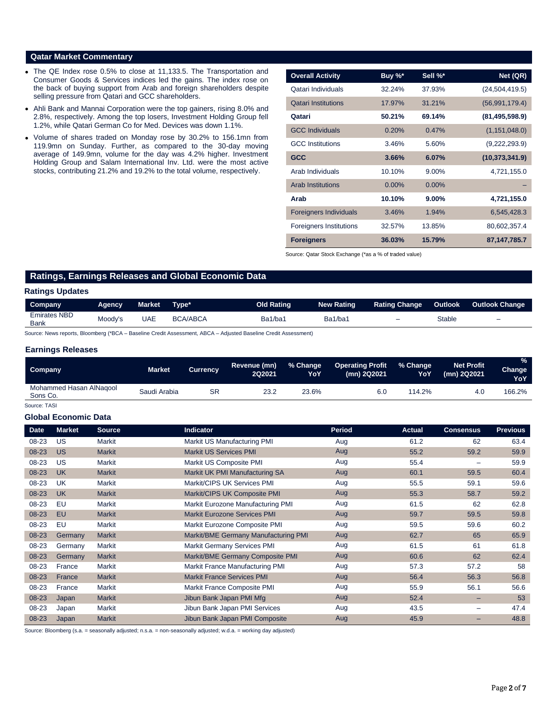# **Qatar Market Commentary**

- The QE Index rose 0.5% to close at 11,133.5. The Transportation and Consumer Goods & Services indices led the gains. The index rose on the back of buying support from Arab and foreign shareholders despite selling pressure from Qatari and GCC shareholders.
- Ahli Bank and Mannai Corporation were the top gainers, rising 8.0% and 2.8%, respectively. Among the top losers, Investment Holding Group fell 1.2%, while Qatari German Co for Med. Devices was down 1.1%.
- Volume of shares traded on Monday rose by 30.2% to 156.1mn from 119.9mn on Sunday. Further, as compared to the 30-day moving average of 149.9mn, volume for the day was 4.2% higher. Investment Holding Group and Salam International Inv. Ltd. were the most active stocks, contributing 21.2% and 19.2% to the total volume, respectively.

| <b>Overall Activity</b>        | Buy %*   | Sell %*  | Net (QR)         |
|--------------------------------|----------|----------|------------------|
| Qatari Individuals             | 32.24%   | 37.93%   | (24, 504, 419.5) |
| <b>Oatari Institutions</b>     | 17.97%   | 31.21%   | (56,991,179.4)   |
| Qatari                         | 50.21%   | 69.14%   | (81, 495, 598.9) |
| <b>GCC Individuals</b>         | 0.20%    | 0.47%    | (1, 151, 048.0)  |
| <b>GCC</b> Institutions        | 3.46%    | 5.60%    | (9,222,293.9)    |
| <b>GCC</b>                     | 3.66%    | 6.07%    | (10, 373, 341.9) |
| Arab Individuals               | 10.10%   | 9.00%    | 4,721,155.0      |
| <b>Arab Institutions</b>       | $0.00\%$ | $0.00\%$ |                  |
| Arab                           | 10.10%   | $9.00\%$ | 4,721,155.0      |
| <b>Foreigners Individuals</b>  | 3.46%    | 1.94%    | 6,545,428.3      |
| <b>Foreigners Institutions</b> | 32.57%   | 13.85%   | 80,602,357.4     |
| <b>Foreigners</b>              | 36.03%   | 15.79%   | 87, 147, 785. 7  |

Source: Qatar Stock Exchange (\*as a % of traded value)

# **Ratings, Earnings Releases and Global Economic Data**

### **Ratings Updates**

| Company                            | <b>Agency</b> | Market | Tvpe*           | <b>Old Rating</b> | <b>New Rating</b> | <b>Rating Change</b> | <b>Outlook</b> | <b>Outlook Change</b>    |
|------------------------------------|---------------|--------|-----------------|-------------------|-------------------|----------------------|----------------|--------------------------|
| <b>Emirates NBD</b><br><b>Bank</b> | Moody's       | JAE    | <b>BCA/ABCA</b> | Ba1/ba1           | Ba1/ba1           | -                    | Stable         | $\overline{\phantom{0}}$ |

Source: News reports, Bloomberg (\*BCA – Baseline Credit Assessment, ABCA – Adjusted Baseline Credit Assessment)

# **Earnings Releases**

| Company                             | Market <b>\</b> | <b>Currency</b> | Revenue (mn)<br>2Q2021 | % Change<br>YoY | <b>Operating Profit</b><br>(mn) 2Q2021 | % Change<br>YoY | <b>Net Profit</b><br>(mn) 2Q2021 | $\frac{9}{6}$<br><b>Change</b><br><b>YoY</b> |
|-------------------------------------|-----------------|-----------------|------------------------|-----------------|----------------------------------------|-----------------|----------------------------------|----------------------------------------------|
| Mohammed Hasan AlNagool<br>Sons Co. | Saudi Arabia    | SR              | 23.2                   | 23.6%           | 6.0                                    | 114.2%          | 4.0                              | 166.2%                                       |

Source: TASI

#### **Global Economic Data**

| <b>Date</b> | <b>Market</b> | <b>Source</b> | <b>Indicator</b>                     | Period | <b>Actual</b> | <b>Consensus</b>         | <b>Previous</b> |
|-------------|---------------|---------------|--------------------------------------|--------|---------------|--------------------------|-----------------|
| 08-23       | US            | Markit        | Markit US Manufacturing PMI          | Aug    | 61.2          | 62                       | 63.4            |
| 08-23       | <b>US</b>     | <b>Markit</b> | <b>Markit US Services PMI</b>        | Aug    | 55.2          | 59.2                     | 59.9            |
| 08-23       | US            | Markit        | Markit US Composite PMI              | Aug    | 55.4          | -                        | 59.9            |
| 08-23       | <b>UK</b>     | <b>Markit</b> | Markit UK PMI Manufacturing SA       | Aug    | 60.1          | 59.5                     | 60.4            |
| 08-23       | UK            | Markit        | Markit/CIPS UK Services PMI          | Aug    | 55.5          | 59.1                     | 59.6            |
| 08-23       | <b>UK</b>     | <b>Markit</b> | Markit/CIPS UK Composite PMI         | Aug    | 55.3          | 58.7                     | 59.2            |
| 08-23       | EU            | <b>Markit</b> | Markit Eurozone Manufacturing PMI    | Aug    | 61.5          | 62                       | 62.8            |
| 08-23       | EU            | <b>Markit</b> | <b>Markit Eurozone Services PMI</b>  | Aug    | 59.7          | 59.5                     | 59.8            |
| 08-23       | EU            | Markit        | Markit Eurozone Composite PMI        | Aug    | 59.5          | 59.6                     | 60.2            |
| 08-23       | Germany       | <b>Markit</b> | Markit/BME Germany Manufacturing PMI | Aug    | 62.7          | 65                       | 65.9            |
| 08-23       | Germany       | Markit        | <b>Markit Germany Services PMI</b>   | Aug    | 61.5          | 61                       | 61.8            |
| 08-23       | Germany       | <b>Markit</b> | Markit/BME Germany Composite PMI     | Aug    | 60.6          | 62                       | 62.4            |
| 08-23       | France        | Markit        | Markit France Manufacturing PMI      | Aug    | 57.3          | 57.2                     | 58              |
| 08-23       | France        | <b>Markit</b> | <b>Markit France Services PMI</b>    | Aug    | 56.4          | 56.3                     | 56.8            |
| 08-23       | France        | Markit        | Markit France Composite PMI          | Aug    | 55.9          | 56.1                     | 56.6            |
| 08-23       | Japan         | <b>Markit</b> | Jibun Bank Japan PMI Mfg             | Aug    | 52.4          | -                        | 53              |
| 08-23       | Japan         | Markit        | Jibun Bank Japan PMI Services        | Aug    | 43.5          | -                        | 47.4            |
| 08-23       | Japan         | <b>Markit</b> | Jibun Bank Japan PMI Composite       | Aug    | 45.9          | $\overline{\phantom{0}}$ | 48.8            |

Source: Bloomberg (s.a. = seasonally adjusted; n.s.a. = non-seasonally adjusted; w.d.a. = working day adjusted)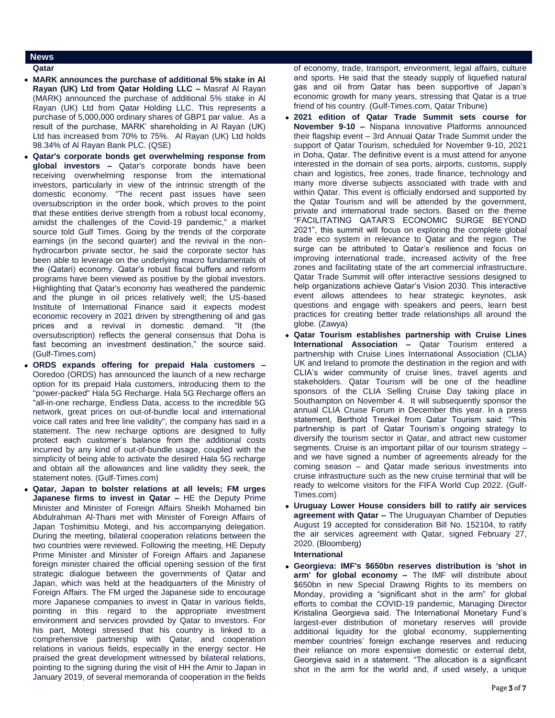# **News**

- **Qatar**
- **MARK announces the purchase of additional 5% stake in Al Rayan (UK) Ltd from Qatar Holding LLC –** Masraf Al Rayan (MARK) announced the purchase of additional 5% stake in Al Rayan (UK) Ltd from Qatar Holding LLC. This represents a purchase of 5,000,000 ordinary shares of GBP1 par value. As a result of the purchase, MARK' shareholding in Al Rayan (UK) Ltd has increased from 70% to 75%. Al Rayan (UK) Ltd holds 98.34% of Al Rayan Bank PLC. (QSE)
- **Qatar's corporate bonds get overwhelming response from global investors –** Qatar's corporate bonds have been receiving overwhelming response from the international investors, particularly in view of the intrinsic strength of the domestic economy. "The recent past issues have seen oversubscription in the order book, which proves to the point that these entities derive strength from a robust local economy, amidst the challenges of the Covid-19 pandemic," a market source told Gulf Times. Going by the trends of the corporate earnings (in the second quarter) and the revival in the nonhydrocarbon private sector, he said the corporate sector has been able to leverage on the underlying macro fundamentals of the (Qatari) economy. Qatar's robust fiscal buffers and reform programs have been viewed as positive by the global investors. Highlighting that Qatar's economy has weathered the pandemic and the plunge in oil prices relatively well; the US-based Institute of International Finance said it expects modest economic recovery in 2021 driven by strengthening oil and gas prices and a revival in domestic demand. "It (the oversubscription) reflects the general consensus that Doha is fast becoming an investment destination," the source said. (Gulf-Times.com)
- **ORDS expands offering for prepaid Hala customers –** Ooredoo (ORDS) has announced the launch of a new recharge option for its prepaid Hala customers, introducing them to the "power-packed" Hala 5G Recharge. Hala 5G Recharge offers an "all-in-one recharge, Endless Data, access to the incredible 5G network, great prices on out-of-bundle local and international voice call rates and free line validity", the company has said in a statement. The new recharge options are designed to fully protect each customer's balance from the additional costs incurred by any kind of out-of-bundle usage, coupled with the simplicity of being able to activate the desired Hala 5G recharge and obtain all the allowances and line validity they seek, the statement notes. (Gulf-Times.com)
- **Qatar, Japan to bolster relations at all levels; FM urges Japanese firms to invest in Qatar –** HE the Deputy Prime Minister and Minister of Foreign Affairs Sheikh Mohamed bin Abdulrahman Al-Thani met with Minister of Foreign Affairs of Japan Toshimitsu Motegi, and his accompanying delegation. During the meeting, bilateral cooperation relations between the two countries were reviewed. Following the meeting, HE Deputy Prime Minister and Minister of Foreign Affairs and Japanese foreign minister chaired the official opening session of the first strategic dialogue between the governments of Qatar and Japan, which was held at the headquarters of the Ministry of Foreign Affairs. The FM urged the Japanese side to encourage more Japanese companies to invest in Qatar in various fields, pointing in this regard to the appropriate investment environment and services provided by Qatar to investors. For his part, Motegi stressed that his country is linked to a comprehensive partnership with Qatar, and cooperation relations in various fields, especially in the energy sector. He praised the great development witnessed by bilateral relations, pointing to the signing during the visit of HH the Amir to Japan in January 2019, of several memoranda of cooperation in the fields

of economy, trade, transport, environment, legal affairs, culture and sports. He said that the steady supply of liquefied natural gas and oil from Qatar has been supportive of Japan's economic growth for many years, stressing that Qatar is a true friend of his country. (Gulf-Times.com, Qatar Tribune)

- **2021 edition of Qatar Trade Summit sets course for November 9-10 –** Nispana Innovative Platforms announced their flagship event – 3rd Annual Qatar Trade Summit under the support of Qatar Tourism, scheduled for November 9-10, 2021 in Doha, Qatar. The definitive event is a must attend for anyone interested in the domain of sea ports, airports, customs, supply chain and logistics, free zones, trade finance, technology and many more diverse subjects associated with trade with and within Qatar. This event is officially endorsed and supported by the Qatar Tourism and will be attended by the government, private and international trade sectors. Based on the theme "FACILITATING QATAR'S ECONOMIC SURGE BEYOND 2021", this summit will focus on exploring the complete global trade eco system in relevance to Qatar and the region. The surge can be attributed to Qatar's resilience and focus on improving international trade, increased activity of the free zones and facilitating state of the art commercial infrastructure. Qatar Trade Summit will offer interactive sessions designed to help organizations achieve Qatar's Vision 2030. This interactive event allows attendees to hear strategic keynotes, ask questions and engage with speakers and peers, learn best practices for creating better trade relationships all around the globe. (Zawya)
- **Qatar Tourism establishes partnership with Cruise Lines International Association –** Qatar Tourism entered a partnership with Cruise Lines International Association (CLIA) UK and Ireland to promote the destination in the region and with CLIA's wider community of cruise lines, travel agents and stakeholders. Qatar Tourism will be one of the headline sponsors of the CLIA Selling Cruise Day taking place in Southampton on November 4. It will subsequently sponsor the annual CLIA Cruise Forum in December this year. In a press statement, Berthold Trenkel from Qatar Tourism said: "This partnership is part of Qatar Tourism's ongoing strategy to diversify the tourism sector in Qatar, and attract new customer segments. Cruise is an important pillar of our tourism strategy – and we have signed a number of agreements already for the coming season – and Qatar made serious investments into cruise infrastructure such as the new cruise terminal that will be ready to welcome visitors for the FIFA World Cup 2022. (Gulf-Times.com)
- **Uruguay Lower House considers bill to ratify air services agreement with Qatar –** The Uruguayan Chamber of Deputies August 19 accepted for consideration Bill No. 152104, to ratify the air services agreement with Qatar, signed February 27, 2020. (Bloomberg)

# **International**

 **Georgieva: IMF's \$650bn reserves distribution is 'shot in arm' for global economy –** The IMF will distribute about \$650bn in new Special Drawing Rights to its members on Monday, providing a "significant shot in the arm" for global efforts to combat the COVID-19 pandemic, Managing Director Kristalina Georgieva said. The International Monetary Fund's largest-ever distribution of monetary reserves will provide additional liquidity for the global economy, supplementing member countries' foreign exchange reserves and reducing their reliance on more expensive domestic or external debt, Georgieva said in a statement. "The allocation is a significant shot in the arm for the world and, if used wisely, a unique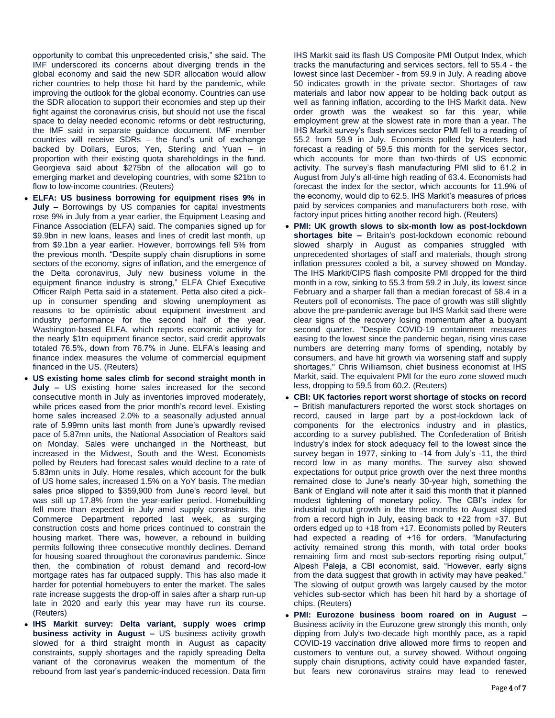opportunity to combat this unprecedented crisis," she said. The IMF underscored its concerns about diverging trends in the global economy and said the new SDR allocation would allow richer countries to help those hit hard by the pandemic, while improving the outlook for the global economy. Countries can use the SDR allocation to support their economies and step up their fight against the coronavirus crisis, but should not use the fiscal space to delay needed economic reforms or debt restructuring, the IMF said in separate guidance document. IMF member countries will receive SDRs – the fund's unit of exchange backed by Dollars, Euros, Yen, Sterling and Yuan – in proportion with their existing quota shareholdings in the fund. Georgieva said about \$275bn of the allocation will go to emerging market and developing countries, with some \$21bn to flow to low-income countries. (Reuters)

- **ELFA: US business borrowing for equipment rises 9% in July –** Borrowings by US companies for capital investments rose 9% in July from a year earlier, the Equipment Leasing and Finance Association (ELFA) said. The companies signed up for \$9.9bn in new loans, leases and lines of credit last month, up from \$9.1bn a year earlier. However, borrowings fell 5% from the previous month. "Despite supply chain disruptions in some sectors of the economy, signs of inflation, and the emergence of the Delta coronavirus, July new business volume in the equipment finance industry is strong," ELFA Chief Executive Officer Ralph Petta said in a statement. Petta also cited a pickup in consumer spending and slowing unemployment as reasons to be optimistic about equipment investment and industry performance for the second half of the year. Washington-based ELFA, which reports economic activity for the nearly \$1tn equipment finance sector, said credit approvals totaled 76.5%, down from 76.7% in June. ELFA's leasing and finance index measures the volume of commercial equipment financed in the US. (Reuters)
- **US existing home sales climb for second straight month in July –** US existing home sales increased for the second consecutive month in July as inventories improved moderately, while prices eased from the prior month's record level. Existing home sales increased 2.0% to a seasonally adjusted annual rate of 5.99mn units last month from June's upwardly revised pace of 5.87mn units, the National Association of Realtors said on Monday. Sales were unchanged in the Northeast, but increased in the Midwest, South and the West. Economists polled by Reuters had forecast sales would decline to a rate of 5.83mn units in July. Home resales, which account for the bulk of US home sales, increased 1.5% on a YoY basis. The median sales price slipped to \$359,900 from June's record level, but was still up 17.8% from the year-earlier period. Homebuilding fell more than expected in July amid supply constraints, the Commerce Department reported last week, as surging construction costs and home prices continued to constrain the housing market. There was, however, a rebound in building permits following three consecutive monthly declines. Demand for housing soared throughout the coronavirus pandemic. Since then, the combination of robust demand and record-low mortgage rates has far outpaced supply. This has also made it harder for potential homebuyers to enter the market. The sales rate increase suggests the drop-off in sales after a sharp run-up late in 2020 and early this year may have run its course. (Reuters)
- **IHS Markit survey: Delta variant, supply woes crimp business activity in August –** US business activity growth slowed for a third straight month in August as capacity constraints, supply shortages and the rapidly spreading Delta variant of the coronavirus weaken the momentum of the rebound from last year's pandemic-induced recession. Data firm

IHS Markit said its flash US Composite PMI Output Index, which tracks the manufacturing and services sectors, fell to 55.4 - the lowest since last December - from 59.9 in July. A reading above 50 indicates growth in the private sector. Shortages of raw materials and labor now appear to be holding back output as well as fanning inflation, according to the IHS Markit data. New order growth was the weakest so far this year, while employment grew at the slowest rate in more than a year. The IHS Markit survey's flash services sector PMI fell to a reading of 55.2 from 59.9 in July. Economists polled by Reuters had forecast a reading of 59.5 this month for the services sector, which accounts for more than two-thirds of US economic activity. The survey's flash manufacturing PMI slid to 61.2 in August from July's all-time high reading of 63.4. Economists had forecast the index for the sector, which accounts for 11.9% of the economy, would dip to 62.5. IHS Markit's measures of prices paid by services companies and manufacturers both rose, with factory input prices hitting another record high. (Reuters)

- **PMI: UK growth slows to six-month low as post-lockdown shortages bite –** Britain's post-lockdown economic rebound slowed sharply in August as companies struggled with unprecedented shortages of staff and materials, though strong inflation pressures cooled a bit, a survey showed on Monday. The IHS Markit/CIPS flash composite PMI dropped for the third month in a row, sinking to 55.3 from 59.2 in July, its lowest since February and a sharper fall than a median forecast of 58.4 in a Reuters poll of economists. The pace of growth was still slightly above the pre-pandemic average but IHS Markit said there were clear signs of the recovery losing momentum after a buoyant second quarter. "Despite COVID-19 containment measures easing to the lowest since the pandemic began, rising virus case numbers are deterring many forms of spending, notably by consumers, and have hit growth via worsening staff and supply shortages," Chris Williamson, chief business economist at IHS Markit, said. The equivalent PMI for the euro zone slowed much less, dropping to 59.5 from 60.2. (Reuters)
- **CBI: UK factories report worst shortage of stocks on record –** British manufacturers reported the worst stock shortages on record, caused in large part by a post-lockdown lack of components for the electronics industry and in plastics, according to a survey published. The Confederation of British Industry's index for stock adequacy fell to the lowest since the survey began in 1977, sinking to -14 from July's -11, the third record low in as many months. The survey also showed expectations for output price growth over the next three months remained close to June's nearly 30-year high, something the Bank of England will note after it said this month that it planned modest tightening of monetary policy. The CBI's index for industrial output growth in the three months to August slipped from a record high in July, easing back to +22 from +37. But orders edged up to +18 from +17. Economists polled by Reuters had expected a reading of +16 for orders. "Manufacturing activity remained strong this month, with total order books remaining firm and most sub-sectors reporting rising output," Alpesh Paleja, a CBI economist, said. "However, early signs from the data suggest that growth in activity may have peaked." The slowing of output growth was largely caused by the motor vehicles sub-sector which has been hit hard by a shortage of chips. (Reuters)
- **PMI: Eurozone business boom roared on in August –** Business activity in the Eurozone grew strongly this month, only dipping from July's two-decade high monthly pace, as a rapid COVID-19 vaccination drive allowed more firms to reopen and customers to venture out, a survey showed. Without ongoing supply chain disruptions, activity could have expanded faster, but fears new coronavirus strains may lead to renewed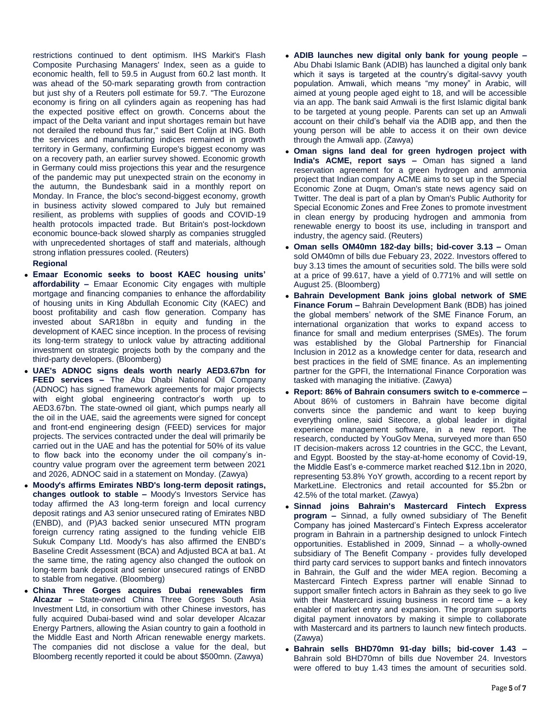restrictions continued to dent optimism. IHS Markit's Flash Composite Purchasing Managers' Index, seen as a guide to economic health, fell to 59.5 in August from 60.2 last month. It was ahead of the 50-mark separating growth from contraction but just shy of a Reuters poll estimate for 59.7. "The Eurozone economy is firing on all cylinders again as reopening has had the expected positive effect on growth. Concerns about the impact of the Delta variant and input shortages remain but have not derailed the rebound thus far," said Bert Colijn at ING. Both the services and manufacturing indices remained in growth territory in Germany, confirming Europe's biggest economy was on a recovery path, an earlier survey showed. Economic growth in Germany could miss projections this year and the resurgence of the pandemic may put unexpected strain on the economy in the autumn, the Bundesbank said in a monthly report on Monday. In France, the bloc's second-biggest economy, growth in business activity slowed compared to July but remained resilient, as problems with supplies of goods and COVID-19 health protocols impacted trade. But Britain's post-lockdown economic bounce-back slowed sharply as companies struggled with unprecedented shortages of staff and materials, although strong inflation pressures cooled. (Reuters)

# **Regional**

- **Emaar Economic seeks to boost KAEC housing units' affordability –** Emaar Economic City engages with multiple mortgage and financing companies to enhance the affordability of housing units in King Abdullah Economic City (KAEC) and boost profitability and cash flow generation. Company has invested about SAR18bn in equity and funding in the development of KAEC since inception. In the process of revising its long-term strategy to unlock value by attracting additional investment on strategic projects both by the company and the third-party developers. (Bloomberg)
- **UAE's ADNOC signs deals worth nearly AED3.67bn for FEED services –** The Abu Dhabi National Oil Company (ADNOC) has signed framework agreements for major projects with eight global engineering contractor's worth up to AED3.67bn. The state-owned oil giant, which pumps nearly all the oil in the UAE, said the agreements were signed for concept and front-end engineering design (FEED) services for major projects. The services contracted under the deal will primarily be carried out in the UAE and has the potential for 50% of its value to flow back into the economy under the oil company's incountry value program over the agreement term between 2021 and 2026, ADNOC said in a statement on Monday. (Zawya)
- **Moody's affirms Emirates NBD's long-term deposit ratings, changes outlook to stable –** Moody's Investors Service has today affirmed the A3 long-term foreign and local currency deposit ratings and A3 senior unsecured rating of Emirates NBD (ENBD), and (P)A3 backed senior unsecured MTN program foreign currency rating assigned to the funding vehicle EIB Sukuk Company Ltd. Moody's has also affirmed the ENBD's Baseline Credit Assessment (BCA) and Adjusted BCA at ba1. At the same time, the rating agency also changed the outlook on long-term bank deposit and senior unsecured ratings of ENBD to stable from negative. (Bloomberg)
- **China Three Gorges acquires Dubai renewables firm Alcazar –** State-owned China Three Gorges South Asia Investment Ltd, in consortium with other Chinese investors, has fully acquired Dubai-based wind and solar developer Alcazar Energy Partners, allowing the Asian country to gain a foothold in the Middle East and North African renewable energy markets. The companies did not disclose a value for the deal, but Bloomberg recently reported it could be about \$500mn. (Zawya)
- **ADIB launches new digital only bank for young people –** Abu Dhabi Islamic Bank (ADIB) has launched a digital only bank which it says is targeted at the country's digital-savvy youth population. Amwali, which means "my money" in Arabic, will aimed at young people aged eight to 18, and will be accessible via an app. The bank said Amwali is the first Islamic digital bank to be targeted at young people. Parents can set up an Amwali account on their child's behalf via the ADIB app, and then the young person will be able to access it on their own device through the Amwali app. (Zawya)
- **Oman signs land deal for green hydrogen project with India's ACME, report says –** Oman has signed a land reservation agreement for a green hydrogen and ammonia project that Indian company ACME aims to set up in the Special Economic Zone at Duqm, Oman's state news agency said on Twitter. The deal is part of a plan by Oman's Public Authority for Special Economic Zones and Free Zones to promote investment in clean energy by producing hydrogen and ammonia from renewable energy to boost its use, including in transport and industry, the agency said. (Reuters)
- **Oman sells OM40mn 182-day bills; bid-cover 3.13 –** Oman sold OM40mn of bills due Febuary 23, 2022. Investors offered to buy 3.13 times the amount of securities sold. The bills were sold at a price of 99.617, have a yield of 0.771% and will settle on August 25. (Bloomberg)
- **Bahrain Development Bank joins global network of SME Finance Forum –** Bahrain Development Bank (BDB) has joined the global members' network of the SME Finance Forum, an international organization that works to expand access to finance for small and medium enterprises (SMEs). The forum was established by the Global Partnership for Financial Inclusion in 2012 as a knowledge center for data, research and best practices in the field of SME finance. As an implementing partner for the GPFI, the International Finance Corporation was tasked with managing the initiative. (Zawya)
- **Report: 86% of Bahrain consumers switch to e-commerce –** About 86% of customers in Bahrain have become digital converts since the pandemic and want to keep buying everything online, said Sitecore, a global leader in digital experience management software, in a new report. The research, conducted by YouGov Mena, surveyed more than 650 IT decision-makers across 12 countries in the GCC, the Levant, and Egypt. Boosted by the stay-at-home economy of Covid-19, the Middle East's e-commerce market reached \$12.1bn in 2020, representing 53.8% YoY growth, according to a recent report by MarketLine. Electronics and retail accounted for \$5.2bn or 42.5% of the total market. (Zawya)
- **Sinnad joins Bahrain's Mastercard Fintech Express program –** Sinnad, a fully owned subsidiary of The Benefit Company has joined Mastercard's Fintech Express accelerator program in Bahrain in a partnership designed to unlock Fintech opportunities. Established in 2009, Sinnad – a wholly-owned subsidiary of The Benefit Company - provides fully developed third party card services to support banks and fintech innovators in Bahrain, the Gulf and the wider MEA region. Becoming a Mastercard Fintech Express partner will enable Sinnad to support smaller fintech actors in Bahrain as they seek to go live with their Mastercard issuing business in record time – a key enabler of market entry and expansion. The program supports digital payment innovators by making it simple to collaborate with Mastercard and its partners to launch new fintech products. (Zawya)
- **Bahrain sells BHD70mn 91-day bills; bid-cover 1.43 –** Bahrain sold BHD70mn of bills due November 24. Investors were offered to buy 1.43 times the amount of securities sold.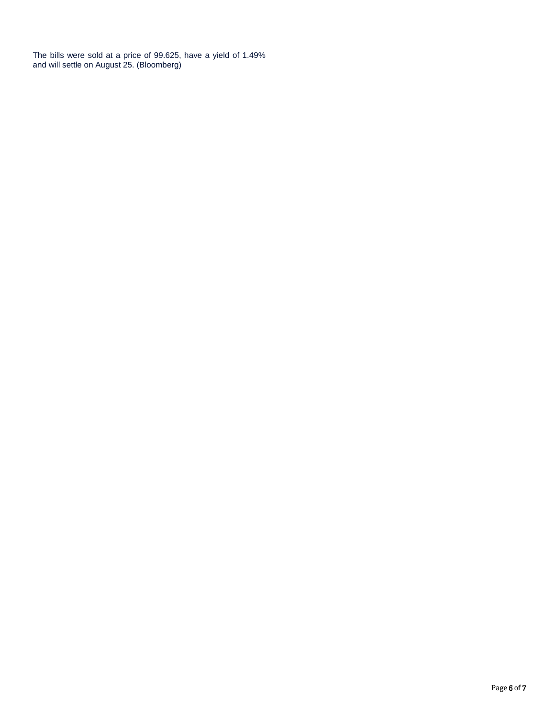The bills were sold at a price of 99.625, have a yield of 1.49% and will settle on August 25. (Bloomberg)